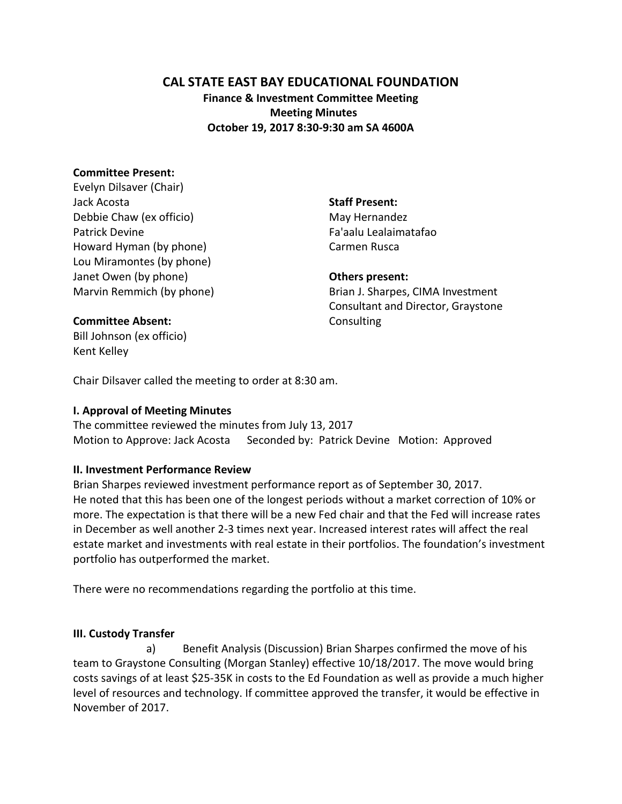## **CAL STATE EAST BAY EDUCATIONAL FOUNDATION**

**Finance & Investment Committee Meeting Meeting Minutes October 19, 2017 8:30-9:30 am SA 4600A**

### **Committee Present:**

Evelyn Dilsaver (Chair) Jack Acosta Debbie Chaw (ex officio) Patrick Devine Howard Hyman (by phone) Lou Miramontes (by phone) Janet Owen (by phone) Marvin Remmich (by phone)

#### **Staff Present:**

May Hernandez Fa'aalu Lealaimatafao Carmen Rusca

#### **Others present:**

Brian J. Sharpes, CIMA Investment Consultant and Director, Graystone **Consulting** 

#### **Committee Absent:**

Bill Johnson (ex officio) Kent Kelley

Chair Dilsaver called the meeting to order at 8:30 am.

#### **I. Approval of Meeting Minutes**

The committee reviewed the minutes from July 13, 2017 Motion to Approve: Jack Acosta Seconded by: Patrick Devine Motion: Approved

### **II. Investment Performance Review**

Brian Sharpes reviewed investment performance report as of September 30, 2017. He noted that this has been one of the longest periods without a market correction of 10% or more. The expectation is that there will be a new Fed chair and that the Fed will increase rates in December as well another 2-3 times next year. Increased interest rates will affect the real estate market and investments with real estate in their portfolios. The foundation's investment portfolio has outperformed the market.

There were no recommendations regarding the portfolio at this time.

### **III. Custody Transfer**

a) Benefit Analysis (Discussion) Brian Sharpes confirmed the move of his team to Graystone Consulting (Morgan Stanley) effective 10/18/2017. The move would bring costs savings of at least \$25-35K in costs to the Ed Foundation as well as provide a much higher level of resources and technology. If committee approved the transfer, it would be effective in November of 2017.